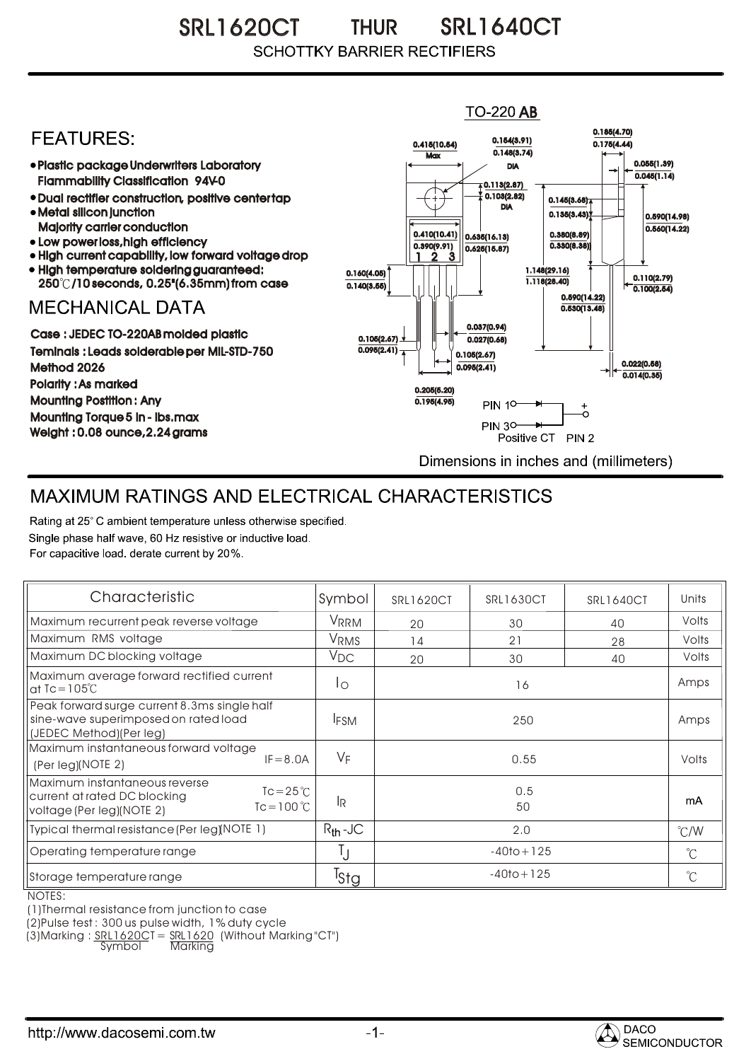SRL1620CT THUR SRL1640CT THUR**SCHOTTKY BARRIER RECTIFIERS** 

## **TO-220 AB** 0.185(4.70) **FEATURES:** 0.154(3.91) 0.415(10.54) 0.175(4.44)  $0.148(3.74)$ **Max** Plastic package Underwriters Laboratory 0.055(1.39) DIA  $0.045(1.14)$ Flammability Classification 94V-0  $\overline{4}$  0.113(2.87) 0.103(2.82) Dual rectifier construction, positive center tap 0.145(3.68) DIA Metal silicon junction  $0.135(3.43)$ 0.590(14.98) Majority carrier conduction  $0.560(14.22)$ 0.410(10.41) 0.380(8.89) 0.635(16.13) • Low power loss, high efficiency 0.330(8.38)) 0.390(9.91)  $0.625(15.87)$ High current capability, low forward voltage drop 1 3 2 • High temperature soldering guaranteed: 1.148(29.16) 0.160(4.05) 0.110(2.79) 250 /10 seconds, 0.25"(6.35mm) from case 1.118(28.40) 0.140(3.55)  $\overline{0.100(2.54)}$ 0.590(14.22) **MECHANICAL DATA**  $0.530(13.48)$ 0.037(0.94) Case : JEDEC TO-220AB molded plastic 0.105(2.67)  $0.027(0.68)$ Teminals : Leads solderable per MIL-STD-750  $0.095(2.41)$ 0.105(2.67) 0.022(0.58) Method 2026  $0.095(2.41)$  $0.014(0.35)$ Polarity : As marked 0.205(5.20) Mounting Postition : Any 0.195(4.95)  $\ddot{\circ}$ **PIN 10-**Mounting Torque 5 in - lbs.max **PIN 30-**÷. Weight : 0.08 ounce,2.24 grams Positive CT PIN 2 Dimensions in inches and (millimeters)

## MAXIMUM RATINGS AND ELECTRICAL CHARACTERISTICS

Rating at 25° C ambient temperature unless otherwise specified. Single phase half wave, 60 Hz resistive or inductive load. For capacitive load, derate current by 20%.

| Characteristic                                                                                                                          | Symbol       | <b>SRL1620CT</b> | <b>SRL1630CT</b> | <b>SRL1640CT</b> | Units         |
|-----------------------------------------------------------------------------------------------------------------------------------------|--------------|------------------|------------------|------------------|---------------|
| Maximum recurrent peak reverse voltage                                                                                                  | VRRM         | 20               | 30               | 40               | Volts         |
| Maximum RMS voltage                                                                                                                     | VRMS         | 14               | 21               | 28               | Volts         |
| Maximum DC blocking voltage                                                                                                             | $V_{DC}$     | 20               | 30               | 40               | Volts         |
| Maximum average forward rectified current<br>at $Tc = 105^{\circ}C$                                                                     | Ιo           | 16               |                  |                  | Amps          |
| Peak forward surge current 8.3ms single half<br>sine-wave superimposed on rated load<br>(JEDEC Method)(Per leg)                         | <b>IFSM</b>  | 250              |                  |                  | Amps          |
| Maximum instantaneous forward voltage<br>$IF = 8.0A$<br>(Per leg)(NOTE 2)                                                               | $V_F$        | 0.55             |                  |                  | Volts         |
| Maximum instantaneous reverse<br>$Tc = 25^{\circ}C$<br>current at rated DC blocking<br>$Tc = 100^{\circ}C$<br>voltage (Per leg)(NOTE 2) | <b>IR</b>    | 0.5<br>50        |                  |                  | mA            |
| Typical thermal resistance (Per leg)(NOTE 1)                                                                                            | $R_{th}$ -JC | 2.0              |                  |                  | $\degree$ C/W |
| Operating temperature range                                                                                                             | IJ           | $-40$ to + 125   |                  |                  | $^{\circ}$ C  |
| Storage temperature range<br>$\cdot \cdot \cdot$                                                                                        | Tstg         | $-40$ to + 125   |                  |                  | $^{\circ}C$   |

NOTES:

(1)Thermal resistance from junction to case

(2)Pulse test : 300 us pulse width, 1% duty cycle

(3)Marking : <u>SRL1620C</u>T = <u>SRL1620</u> (Without Marking "CT") Symbol Marking

http://www.dacosemi.com.tw